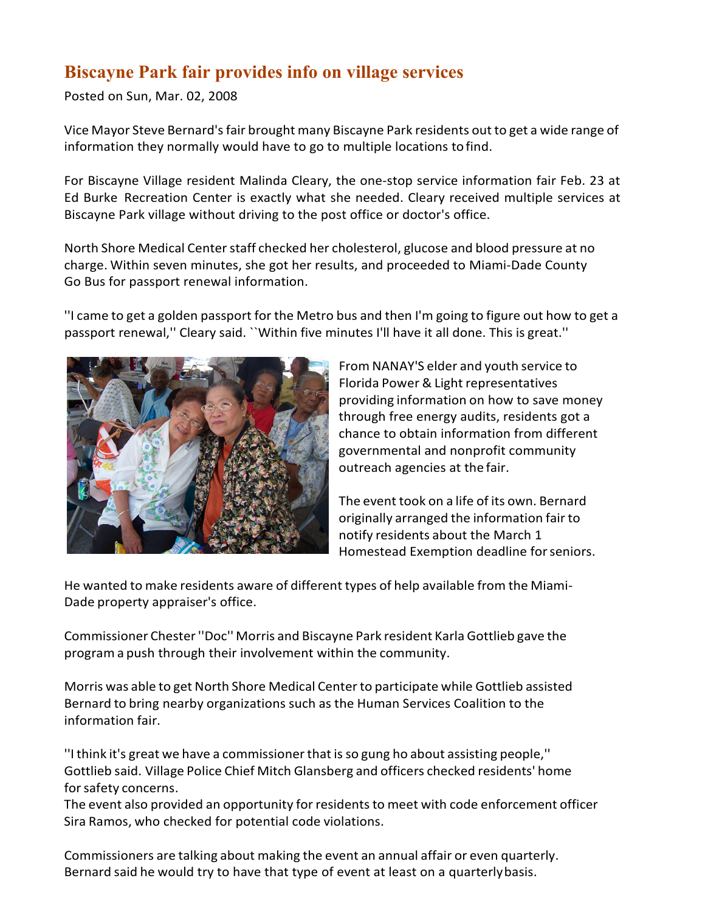## **Biscayne Park fair provides info on village services**

Posted on Sun, Mar. 02, 2008

Vice Mayor Steve Bernard'sfair brought many Biscayne Park residents out to get a wide range of information they normally would have to go to multiple locations tofind.

For Biscayne Village resident Malinda Cleary, the one-stop service information fair Feb. 23 at Ed Burke Recreation Center is exactly what she needed. Cleary received multiple services at Biscayne Park village without driving to the post office or doctor's office.

North Shore Medical Center staff checked her cholesterol, glucose and blood pressure at no charge. Within seven minutes, she got her results, and proceeded to Miami-Dade County Go Bus for passport renewal information.

''I came to get a golden passport for the Metro bus and then I'm going to figure out how to get a passport renewal,'' Cleary said. ``Within five minutes I'll have it all done. This is great.''



From NANAY'S elder and youth service to Florida Power & Light representatives providing information on how to save money through free energy audits, residents got a chance to obtain information from different governmental and nonprofit community outreach agencies at the fair.

The event took on a life of its own. Bernard originally arranged the information fair to notify residents about the March 1 Homestead Exemption deadline forseniors.

He wanted to make residents aware of different types of help available from the Miami-Dade property appraiser's office.

Commissioner Chester''Doc'' Morris and Biscayne Park resident Karla Gottlieb gave the program a push through their involvement within the community.

Morris was able to get North Shore Medical Centerto participate while Gottlieb assisted Bernard to bring nearby organizations such as the Human Services Coalition to the information fair.

''I think it's great we have a commissionerthat isso gung ho about assisting people,'' Gottlieb said. Village Police Chief Mitch Glansberg and officers checked residents' home for safety concerns.

The event also provided an opportunity for residents to meet with code enforcement officer Sira Ramos, who checked for potential code violations.

Commissioners are talking about making the event an annual affair or even quarterly. Bernard said he would try to have that type of event at least on a quarterlybasis.